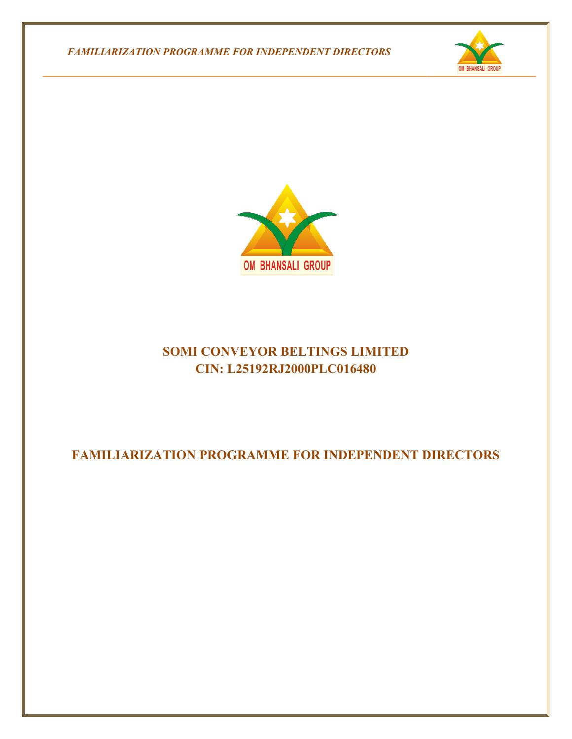*FAMILIARIZATION PROGRAMME FOR INDEPENDENT DIRECTORS FAMILIARIZATION PROGRAMME* 





# **SOMI CONVEYOR BELTINGS LIMITED CIN: L25192RJ2000PLC016480 FAMILIARIZATION PROGRAMME FOR INDEPENDENT DIRECTORS**<br>FAMILIARIZATION PROGRAMME FOR INDEPENDENT DIRECTORS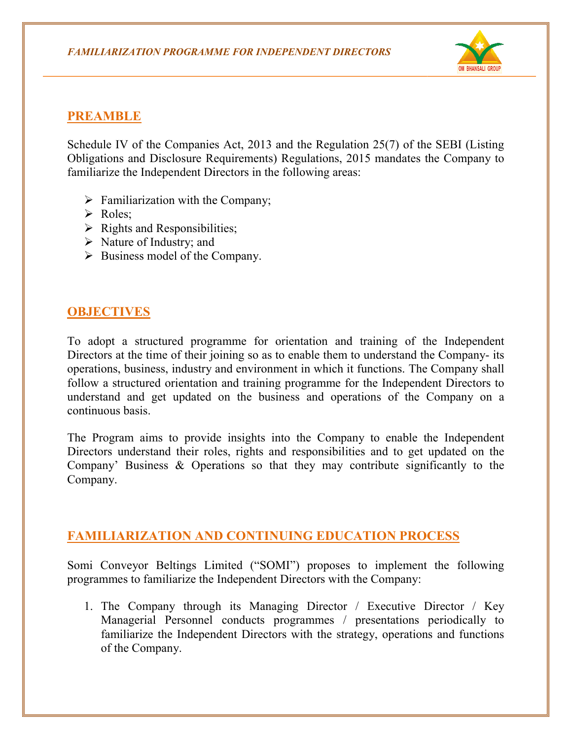

#### **PREAMBLE**

Schedule IV of the Companies Act, 2013 and the Regulation 25(7) of the SEBI (Listing Obligations and Disclosure Requirements) Regulations, 2015 mandates the Company to familiarize the Independent Directors in the following areas: Schedule IV of the Companies Act, 2013 and the Regulation 25(7) of the SEBI<br>Obligations and Disclosure Requirements) Regulations, 2015 mandates the Com<br>familiarize the Independent Directors in the following areas:<br> $\triangleright$ 

- $\triangleright$  Familiarization with the Company;
- $\triangleright$  Roles:
- $\triangleright$  Rights and Responsibilities;
- $\triangleright$  Nature of Industry; and
- $\triangleright$  Business model of the Company.

### **OBJECTIVES**

To adopt a structured programme for orientation and training of the Independent Directors at the time of their joining so as to enable them to understand the Company- its operations, business, industry and environment in which it functions. The Company shall follow a structured orientation and training programme for the Independent Directors to understand and get updated on the business and operations of the Company on a continuous basis. intertor at entropy and the Company.<br>
Directors at the time of their joining so as to enable them to understand the Company- its<br>
Directors at the time of their joining so as to enable them to understand the Company shall f their joining so as to enable them to understand the Company- its<br>adustry and environment in which it functions. The Company shall<br>ientation and training programme for the Independent Directors to<br>pdated on the business

The Program aims to provide insights into the Company to enable the the Independent Directors understand their roles, rights and responsibilities and to get updated on the Company' Business & Operations so that they may contribute significantly to the Company.

## **FAMILIARIZATION AND CONTINUING EDUCATION PROCESS PROCESS**

Somi Conveyor Beltings Limited ("SOMI") proposes to implement the following programmes to familiarize the Independent Directors with the Company:

1. The Company through its Managing Director / Executive Director / Key Managerial Personnel conducts programmes / pr esentations familiarize the Independent Directors with the strategy, operations and functions of the Company.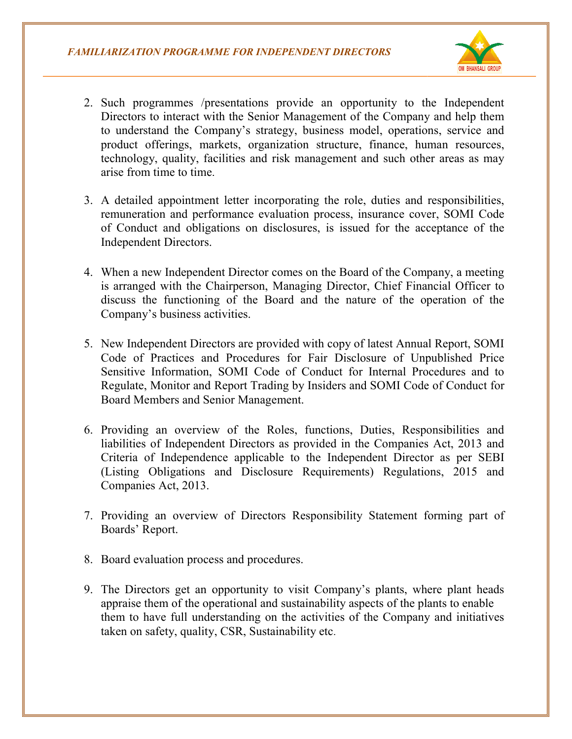

- 2. Such programmes /presentations provide an opportunity to the Independent Such programmes /presentations provide an opportunity to the Independent Directors to interact with the Senior Management of the Company and help them to understand the Company's strategy, business model, operations, service and product offerings, markets, organization structure, finance, human resources, technology, quality, facilities and risk management and such other areas as may arise from time to time. to understand the Company's strategy, business model, operations, serv<br>product offerings, markets, organization structure, finance, human res<br>technology, quality, facilities and risk management and such other areas<br>arise f ompany and help them<br>operations, service and<br>nce, human resources,<br>uch other areas as may<br>es and responsibilities,
- 3. A detailed appointment letter incorporating the role, duties and responsibilities remuneration and performance evaluation process, insurance cover, SOMI Code of Conduct and obligations on disclosures, is issued for the acceptance of the Independent Directors.
- 4. When a new Independent Director comes on the Board of the Company, a meeting is arranged with the Chairperson, Managing Director, Chief Financial Officer to discuss the functioning of the Board and the nature of the operation of the Company's business activities. hen a new Independent Director comes on the Board of the Company, a meeting<br>arranged with the Chairperson, Managing Director, Chief Financial Officer to<br>icuss the functioning of the Board and the nature of the operation of
- 5. New Independent Directors are provided with copy of latest Annual Report, SOMI Code of Practices and Procedures for Fair Disclosure of Unpublished Price Sensitive Information, SOMI Code of Conduct for Internal Procedures and to Regulate, Monitor and Report Trading by Insiders and SOMI Code of Conduct for Board Members and Senior Management. Solusiness activities.<br>
Directors are provided with copy of latest Annual Report, SOMI<br>
Practices and Procedures for Fair Disclosure of Unpublished Price<br>
Information, SOMI Code of Conduct for Internal Procedures and to re of the operation of<br>latest Annual Report, SC<br>sure of Unpublished P<br>Internal Procedures and<br>SOMI Code of Conduct<br>Duties, Responsibilities<br>e Companies Act, 2013<br>dent Director as per S.<br>S.) Regulations, 2015<br>Statement form
- 6. Providing an overview of the Roles, functions, Duties, Responsibilities and liabilities of Independent Directors as provided in the Companies Act, 2013 and Criteria of Independence applicable to the Independent Director as per SEBI (Listing Obligations and Disclosure Requirements) Regulations, 2015 and Companies Act, 2013. Providing an overview of the Roles, functions, Duties, Responsibilities<br>liabilities of Independent Directors as provided in the Companies Act, 2013<br>Criteria of Independence applicable to the Independent Director as per S
- The Providing an overview of Directors Responsibility Statement forming part of Boards' Report.<br>
8. Board evaluation process and procedures.<br>
9. The Directors get an opportunity to visit Company's plants, where plant heads Boards' Report.
- 8. Board evaluation process and procedures.
- 9. The Directors get an opportunity to visit Company' appraise them of the operational and sustainability aspects of the plants to enable appraise them of the operational and sustainability aspects of the plants to enable them to have full understanding on the activities of the Company and initiatives taken on safety, quality, CSR, Sustainability etc .